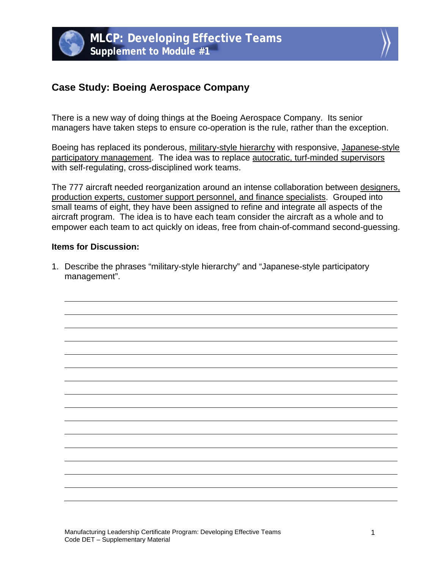



## **Case Study: Boeing Aerospace Company**

There is a new way of doing things at the Boeing Aerospace Company. Its senior managers have taken steps to ensure co-operation is the rule, rather than the exception.

Boeing has replaced its ponderous, military-style hierarchy with responsive, Japanese-style participatory management. The idea was to replace autocratic, turf-minded supervisors with self-regulating, cross-disciplined work teams.

The 777 aircraft needed reorganization around an intense collaboration between designers, production experts, customer support personnel, and finance specialists. Grouped into small teams of eight, they have been assigned to refine and integrate all aspects of the aircraft program. The idea is to have each team consider the aircraft as a whole and to empower each team to act quickly on ideas, free from chain-of-command second-guessing.

## **Items for Discussion:**

1. Describe the phrases "military-style hierarchy" and "Japanese-style participatory management".